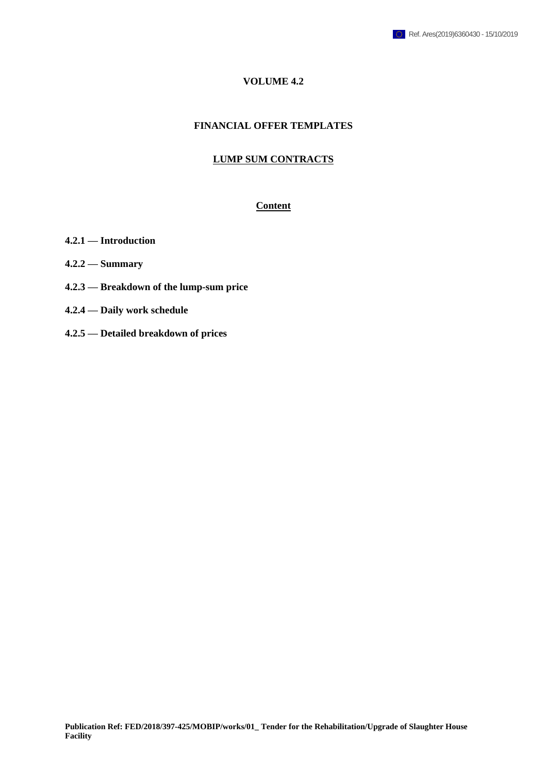## **VOLUME 4.2**

#### **FINANCIAL OFFER TEMPLATES**

#### **LUMP SUM CONTRACTS**

#### **Content**

- **4.2.1 — Introduction**
- **4.2.2 — Summary**
- **4.2.3 — Breakdown of the lump-sum price**
- **4.2.4 — Daily work schedule**
- **4.2.5 — Detailed breakdown of prices**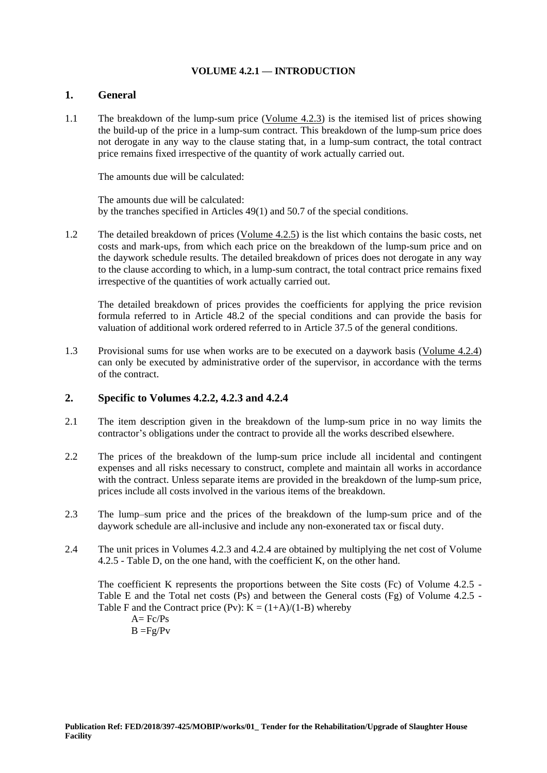### **VOLUME 4.2.1 — INTRODUCTION**

#### **1. General**

1.1 The breakdown of the lump-sum price (Volume 4.2.3) is the itemised list of prices showing the build-up of the price in a lump-sum contract. This breakdown of the lump-sum price does not derogate in any way to the clause stating that, in a lump-sum contract, the total contract price remains fixed irrespective of the quantity of work actually carried out.

The amounts due will be calculated:

The amounts due will be calculated: by the tranches specified in Articles 49(1) and 50.7 of the special conditions.

1.2 The detailed breakdown of prices (Volume 4.2.5) is the list which contains the basic costs, net costs and mark-ups, from which each price on the breakdown of the lump-sum price and on the daywork schedule results. The detailed breakdown of prices does not derogate in any way to the clause according to which, in a lump-sum contract, the total contract price remains fixed irrespective of the quantities of work actually carried out.

The detailed breakdown of prices provides the coefficients for applying the price revision formula referred to in Article 48.2 of the special conditions and can provide the basis for valuation of additional work ordered referred to in Article 37.5 of the general conditions.

1.3 Provisional sums for use when works are to be executed on a daywork basis (Volume 4.2.4) can only be executed by administrative order of the supervisor, in accordance with the terms of the contract.

## **2. Specific to Volumes 4.2.2, 4.2.3 and 4.2.4**

- 2.1 The item description given in the breakdown of the lump-sum price in no way limits the contractor's obligations under the contract to provide all the works described elsewhere.
- 2.2 The prices of the breakdown of the lump-sum price include all incidental and contingent expenses and all risks necessary to construct, complete and maintain all works in accordance with the contract. Unless separate items are provided in the breakdown of the lump-sum price, prices include all costs involved in the various items of the breakdown.
- 2.3 The lump–sum price and the prices of the breakdown of the lump-sum price and of the daywork schedule are all-inclusive and include any non-exonerated tax or fiscal duty.
- 2.4 The unit prices in Volumes 4.2.3 and 4.2.4 are obtained by multiplying the net cost of Volume 4.2.5 - Table D, on the one hand, with the coefficient K, on the other hand.

The coefficient K represents the proportions between the Site costs (Fc) of Volume 4.2.5 - Table E and the Total net costs (Ps) and between the General costs (Fg) of Volume 4.2.5 - Table F and the Contract price (Pv):  $K = (1+A)/(1-B)$  whereby  $A = Fc/Ps$ 

 $B = Fg/Pv$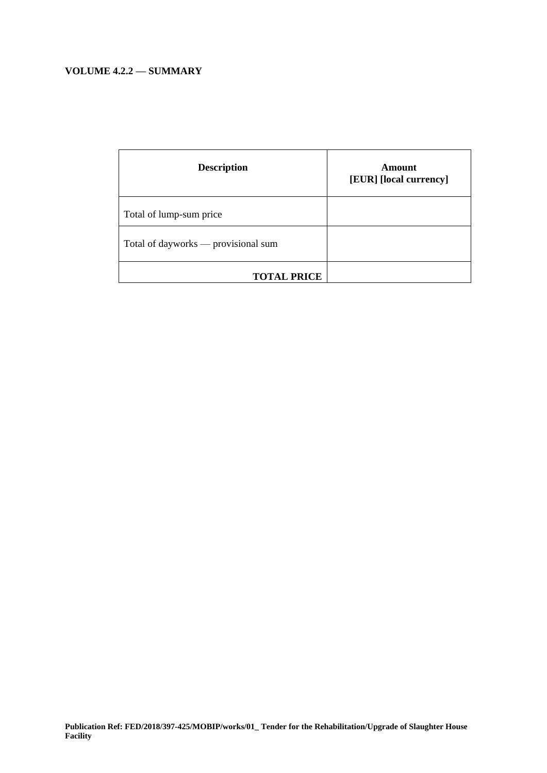# **VOLUME 4.2.2 — SUMMARY**

| <b>Description</b>                  | Amount<br>[EUR] [local currency] |
|-------------------------------------|----------------------------------|
| Total of lump-sum price             |                                  |
| Total of dayworks — provisional sum |                                  |
| <b>TOTAL PRICE</b>                  |                                  |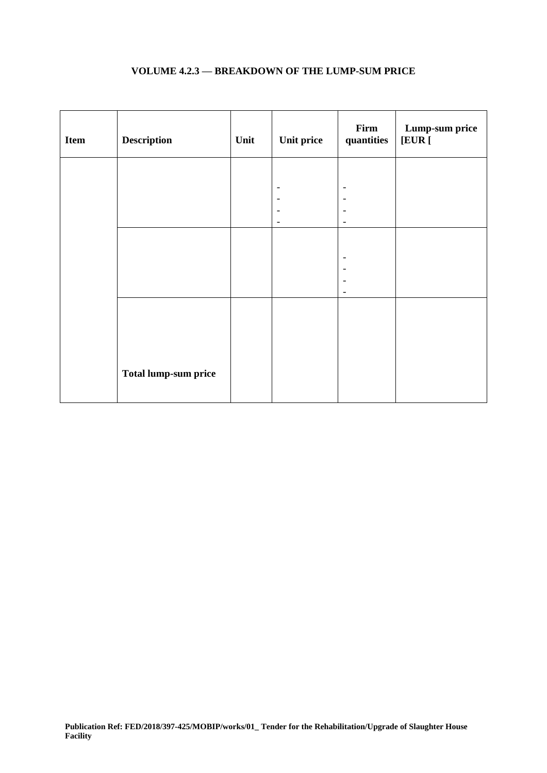| Item | <b>Description</b>          | Unit | Unit price      | Firm<br>quantities       | Lump-sum price<br>[EUR] |
|------|-----------------------------|------|-----------------|--------------------------|-------------------------|
|      |                             |      |                 |                          |                         |
|      |                             |      |                 | $\overline{\phantom{0}}$ |                         |
|      |                             |      |                 |                          |                         |
|      |                             |      | $\qquad \qquad$ |                          |                         |
|      |                             |      |                 |                          |                         |
|      |                             |      |                 |                          |                         |
|      |                             |      |                 | $\overline{\phantom{a}}$ |                         |
|      |                             |      |                 |                          |                         |
|      |                             |      |                 |                          |                         |
|      |                             |      |                 |                          |                         |
|      | <b>Total lump-sum price</b> |      |                 |                          |                         |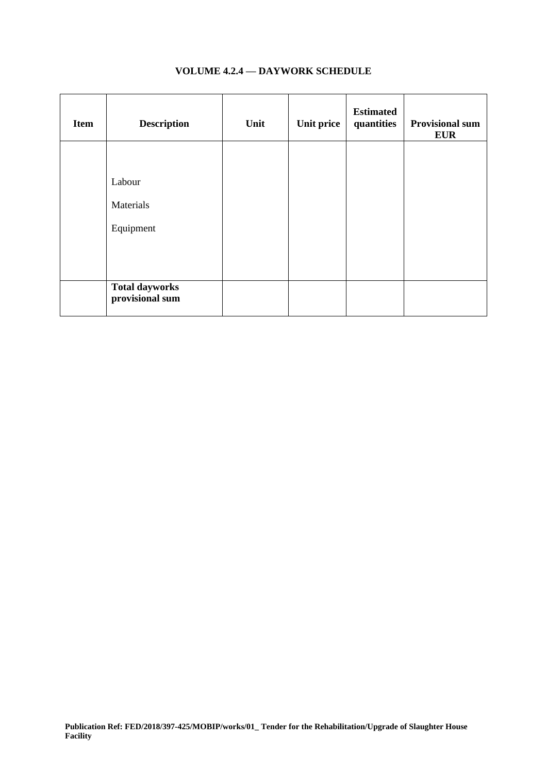| <b>Item</b> | <b>Description</b>                       | Unit | <b>Unit price</b> | <b>Estimated</b><br>quantities | <b>Provisional sum</b><br><b>EUR</b> |
|-------------|------------------------------------------|------|-------------------|--------------------------------|--------------------------------------|
|             |                                          |      |                   |                                |                                      |
|             | Labour                                   |      |                   |                                |                                      |
|             | Materials                                |      |                   |                                |                                      |
|             | Equipment                                |      |                   |                                |                                      |
|             |                                          |      |                   |                                |                                      |
|             |                                          |      |                   |                                |                                      |
|             | <b>Total dayworks</b><br>provisional sum |      |                   |                                |                                      |

## **VOLUME 4.2.4 — DAYWORK SCHEDULE**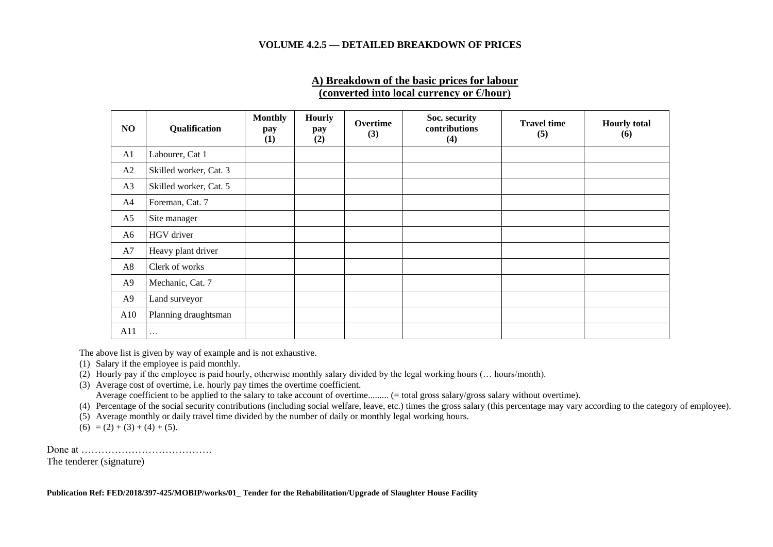#### **VOLUME 4.2.5 — DETAILED BREAKDOWN OF PRICES**

## **A) Breakdown of the basic prices for labour (converted into local currency or €/hour)**

| NO             | Qualification          | <b>Monthly</b><br>pay<br>(1) | <b>Hourly</b><br>pay<br>(2) | Overtime<br>(3) | Soc. security<br>contributions<br>(4) | <b>Travel time</b><br>(5) | <b>Hourly</b> total<br>(6) |
|----------------|------------------------|------------------------------|-----------------------------|-----------------|---------------------------------------|---------------------------|----------------------------|
| A1             | Labourer, Cat 1        |                              |                             |                 |                                       |                           |                            |
| A2             | Skilled worker, Cat. 3 |                              |                             |                 |                                       |                           |                            |
| A3             | Skilled worker, Cat. 5 |                              |                             |                 |                                       |                           |                            |
| A4             | Foreman, Cat. 7        |                              |                             |                 |                                       |                           |                            |
| A5             | Site manager           |                              |                             |                 |                                       |                           |                            |
| A6             | HGV driver             |                              |                             |                 |                                       |                           |                            |
| A7             | Heavy plant driver     |                              |                             |                 |                                       |                           |                            |
| A8             | Clerk of works         |                              |                             |                 |                                       |                           |                            |
| A <sub>9</sub> | Mechanic, Cat. 7       |                              |                             |                 |                                       |                           |                            |
| A <sub>9</sub> | Land surveyor          |                              |                             |                 |                                       |                           |                            |
| A10            | Planning draughtsman   |                              |                             |                 |                                       |                           |                            |
| A11            | $\cdots$               |                              |                             |                 |                                       |                           |                            |

The above list is given by way of example and is not exhaustive.

- (1) Salary if the employee is paid monthly.
- (2) Hourly pay if the employee is paid hourly, otherwise monthly salary divided by the legal working hours (… hours/month).
- (3) Average cost of overtime, i.e. hourly pay times the overtime coefficient. Average coefficient to be applied to the salary to take account of overtime......... (= total gross salary/gross salary without overtime).
- (4) Percentage of the social security contributions (including social welfare, leave, etc.) times the gross salary (this percentage may vary according to the category of employee).
- (5) Average monthly or daily travel time divided by the number of daily or monthly legal working hours.
- $(6) = (2) + (3) + (4) + (5).$

Done at …………………………………

The tenderer (signature)

**Publication Ref: FED/2018/397-425/MOBIP/works/01\_ Tender for the Rehabilitation/Upgrade of Slaughter House Facility**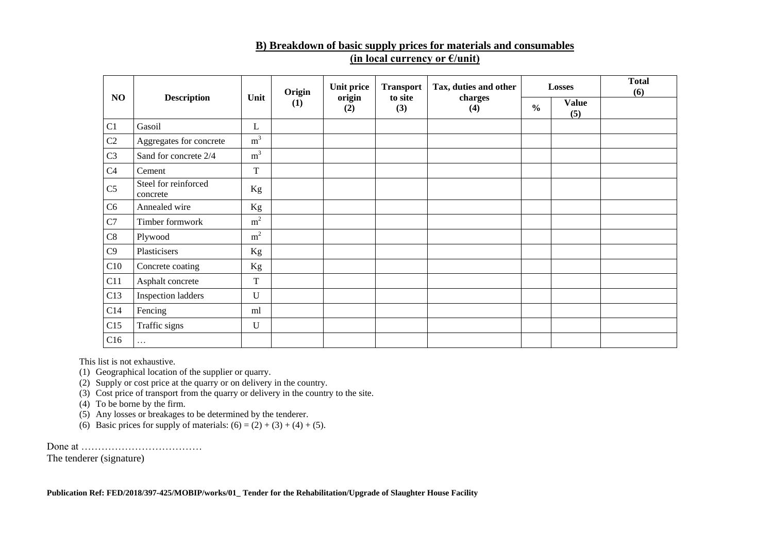## **B) Breakdown of basic supply prices for materials and consumables (in local currency or €/unit)**

|                |                                  |                | Origin | Unit price    | <b>Transport</b> | Tax, duties and other |               | Losses              | <b>Total</b><br>(6) |
|----------------|----------------------------------|----------------|--------|---------------|------------------|-----------------------|---------------|---------------------|---------------------|
| NO             | <b>Description</b>               | Unit           | (1)    | origin<br>(2) | to site<br>(3)   | charges<br>(4)        | $\frac{0}{0}$ | <b>Value</b><br>(5) |                     |
| C1             | Gasoil                           | L              |        |               |                  |                       |               |                     |                     |
| C2             | Aggregates for concrete          | m <sup>3</sup> |        |               |                  |                       |               |                     |                     |
| C <sub>3</sub> | Sand for concrete 2/4            | m <sup>3</sup> |        |               |                  |                       |               |                     |                     |
| C <sub>4</sub> | Cement                           | T              |        |               |                  |                       |               |                     |                     |
| C <sub>5</sub> | Steel for reinforced<br>concrete | Kg             |        |               |                  |                       |               |                     |                     |
| C6             | Annealed wire                    | Kg             |        |               |                  |                       |               |                     |                     |
| C7             | Timber formwork                  | $\rm m^2$      |        |               |                  |                       |               |                     |                     |
| C8             | Plywood                          | m <sup>2</sup> |        |               |                  |                       |               |                     |                     |
| C9             | Plasticisers                     | Kg             |        |               |                  |                       |               |                     |                     |
| C10            | Concrete coating                 | Kg             |        |               |                  |                       |               |                     |                     |
| C11            | Asphalt concrete                 | $\mathbf T$    |        |               |                  |                       |               |                     |                     |
| C13            | <b>Inspection ladders</b>        | U              |        |               |                  |                       |               |                     |                     |
| C14            | Fencing                          | ml             |        |               |                  |                       |               |                     |                     |
| C15            | Traffic signs                    | U              |        |               |                  |                       |               |                     |                     |
| C16            | $\cdots$                         |                |        |               |                  |                       |               |                     |                     |

This list is not exhaustive.

(1) Geographical location of the supplier or quarry.

(2) Supply or cost price at the quarry or on delivery in the country.

(3) Cost price of transport from the quarry or delivery in the country to the site.

(4) To be borne by the firm.

(5) Any losses or breakages to be determined by the tenderer.

(6) Basic prices for supply of materials:  $(6) = (2) + (3) + (4) + (5)$ .

Done at ………………………………

The tenderer (signature)

**Publication Ref: FED/2018/397-425/MOBIP/works/01\_ Tender for the Rehabilitation/Upgrade of Slaughter House Facility**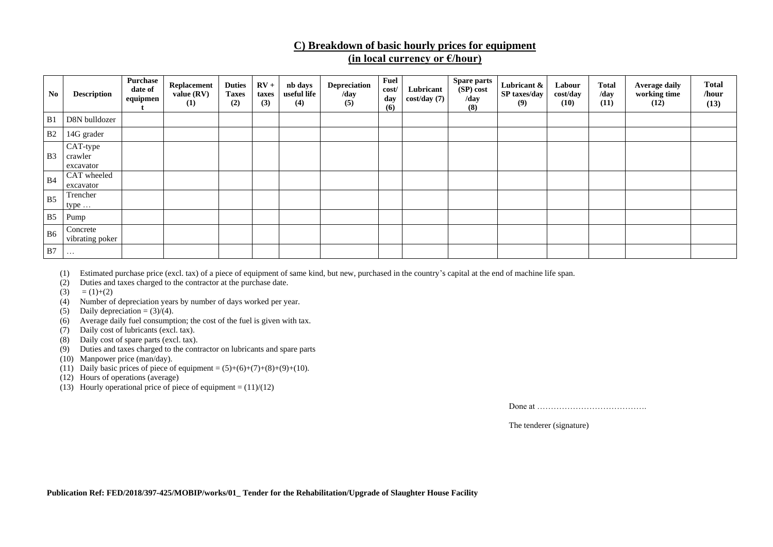## **C) Breakdown of basic hourly prices for equipment (in local currency or €/hour)**

| $\mathbf{N}\mathbf{0}$ | <b>Description</b>               | <b>Purchase</b><br>date of<br>equipmen | Replacement<br>value (RV)<br>(1) | <b>Duties</b><br><b>Taxes</b><br>(2) | $RV +$<br>taxes<br>(3) | nb days<br>useful life<br>(4) | <b>Depreciation</b><br>/day<br>(5) | Fuel<br>cost/<br>day<br>(6) | Lubricant<br>cost/day(7) | <b>Spare parts</b><br>(SP) cost<br>/day<br>(8) | Lubricant &<br>SP taxes/day<br>(9) | Labour<br>cost/day<br>(10) | <b>Total</b><br>/day<br>(11) | <b>Average daily</b><br>working time<br>(12) | <b>Total</b><br>/hour<br>(13) |
|------------------------|----------------------------------|----------------------------------------|----------------------------------|--------------------------------------|------------------------|-------------------------------|------------------------------------|-----------------------------|--------------------------|------------------------------------------------|------------------------------------|----------------------------|------------------------------|----------------------------------------------|-------------------------------|
| B1                     | D8N bulldozer                    |                                        |                                  |                                      |                        |                               |                                    |                             |                          |                                                |                                    |                            |                              |                                              |                               |
| B <sub>2</sub>         | 14G grader                       |                                        |                                  |                                      |                        |                               |                                    |                             |                          |                                                |                                    |                            |                              |                                              |                               |
| B <sub>3</sub>         | CAT-type<br>crawler<br>excavator |                                        |                                  |                                      |                        |                               |                                    |                             |                          |                                                |                                    |                            |                              |                                              |                               |
| <b>B4</b>              | CAT wheeled<br>excavator         |                                        |                                  |                                      |                        |                               |                                    |                             |                          |                                                |                                    |                            |                              |                                              |                               |
| B <sub>5</sub>         | Trencher<br>type $\dots$         |                                        |                                  |                                      |                        |                               |                                    |                             |                          |                                                |                                    |                            |                              |                                              |                               |
| B <sub>5</sub>         | Pump                             |                                        |                                  |                                      |                        |                               |                                    |                             |                          |                                                |                                    |                            |                              |                                              |                               |
| B <sub>6</sub>         | Concrete<br>vibrating poker      |                                        |                                  |                                      |                        |                               |                                    |                             |                          |                                                |                                    |                            |                              |                                              |                               |
| B7                     | $\cdots$                         |                                        |                                  |                                      |                        |                               |                                    |                             |                          |                                                |                                    |                            |                              |                                              |                               |

(1) Estimated purchase price (excl. tax) of a piece of equipment of same kind, but new, purchased in the country's capital at the end of machine life span.

(2) Duties and taxes charged to the contractor at the purchase date.

- $(3) = (1)+(2)$
- (4) Number of depreciation years by number of days worked per year.
- (5) Daily depreciation =  $(3)/(4)$ .
- (6) Average daily fuel consumption; the cost of the fuel is given with tax.
- (7) Daily cost of lubricants (excl. tax).
- (8) Daily cost of spare parts (excl. tax).
- (9) Duties and taxes charged to the contractor on lubricants and spare parts
- (10) Manpower price (man/day).
- (11) Daily basic prices of piece of equipment =  $(5)+(6)+(7)+(8)+(9)+(10)$ .
- (12) Hours of operations (average)
- (13) Hourly operational price of piece of equipment =  $(11)/(12)$

Done at ………………………………….

The tenderer (signature)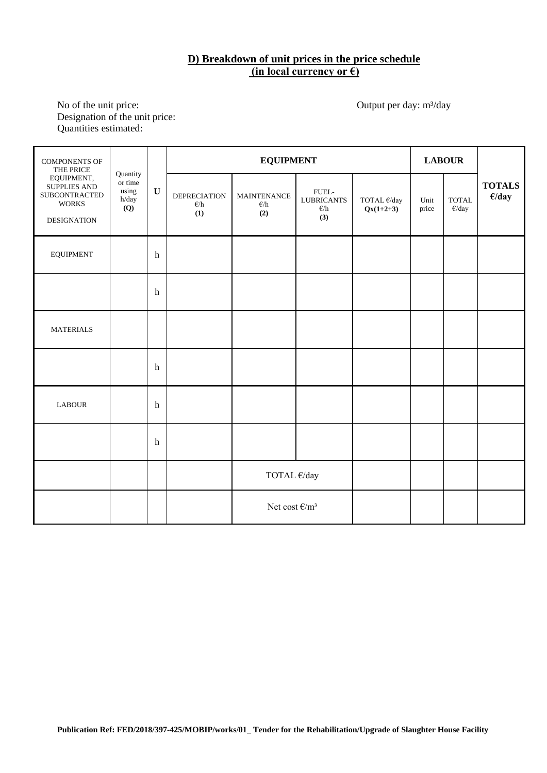# **D) Breakdown of unit prices in the price schedule (in local currency or €)**

No of the unit price: Output per day: m<sup>3</sup>/day Designation of the unit price: Quantities estimated:

| COMPONENTS OF<br>THE PRICE                                                        |                                              |                         |                                             | <b>EQUIPMENT</b>                           | <b>LABOUR</b>                                      |                            |               |                                    |                                  |
|-----------------------------------------------------------------------------------|----------------------------------------------|-------------------------|---------------------------------------------|--------------------------------------------|----------------------------------------------------|----------------------------|---------------|------------------------------------|----------------------------------|
| EQUIPMENT,<br>SUPPLIES AND<br>SUBCONTRACTED<br><b>WORKS</b><br><b>DESIGNATION</b> | Quantity<br>or time<br>using<br>h/day<br>(Q) | $\mathbf U$             | <b>DEPRECIATION</b><br>$\epsilon$ /h<br>(1) | <b>MAINTENANCE</b><br>$\epsilon$ /h<br>(2) | FUEL-<br><b>LUBRICANTS</b><br>$\epsilon$ /h<br>(3) | TOTAL €/day<br>$Qx(1+2+3)$ | Unit<br>price | <b>TOTAL</b><br>$\varepsilon$ /day | <b>TOTALS</b><br>$\epsilon$ /day |
| <b>EQUIPMENT</b>                                                                  |                                              | $\boldsymbol{\text{h}}$ |                                             |                                            |                                                    |                            |               |                                    |                                  |
|                                                                                   |                                              | $\mathbf h$             |                                             |                                            |                                                    |                            |               |                                    |                                  |
| <b>MATERIALS</b>                                                                  |                                              |                         |                                             |                                            |                                                    |                            |               |                                    |                                  |
|                                                                                   |                                              | $\mathbf h$             |                                             |                                            |                                                    |                            |               |                                    |                                  |
| <b>LABOUR</b>                                                                     |                                              | $\mathbf h$             |                                             |                                            |                                                    |                            |               |                                    |                                  |
|                                                                                   |                                              | $\boldsymbol{\text{h}}$ |                                             |                                            |                                                    |                            |               |                                    |                                  |
|                                                                                   |                                              |                         |                                             | TOTAL €/day                                |                                                    |                            |               |                                    |                                  |
|                                                                                   |                                              |                         |                                             | Net cost $\epsilon/m^3$                    |                                                    |                            |               |                                    |                                  |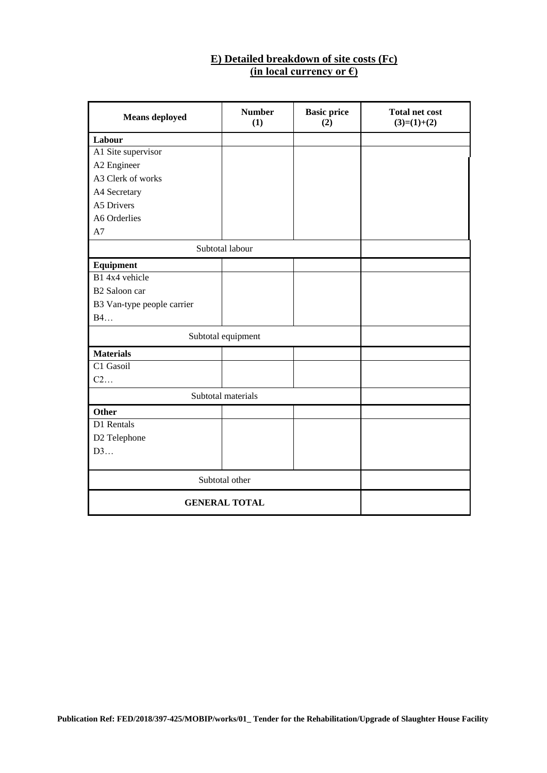## **E) Detailed breakdown of site costs (Fc) (in local currency or €)**

| <b>Means</b> deployed      | <b>Number</b><br>(1) | <b>Basic price</b><br>(2) | <b>Total net cost</b><br>$(3)=(1)+(2)$ |  |  |  |  |
|----------------------------|----------------------|---------------------------|----------------------------------------|--|--|--|--|
| Labour                     |                      |                           |                                        |  |  |  |  |
| A1 Site supervisor         |                      |                           |                                        |  |  |  |  |
| A2 Engineer                |                      |                           |                                        |  |  |  |  |
| A3 Clerk of works          |                      |                           |                                        |  |  |  |  |
| A4 Secretary               |                      |                           |                                        |  |  |  |  |
| A5 Drivers                 |                      |                           |                                        |  |  |  |  |
| A6 Orderlies               |                      |                           |                                        |  |  |  |  |
| A7                         |                      |                           |                                        |  |  |  |  |
|                            | Subtotal labour      |                           |                                        |  |  |  |  |
| Equipment                  |                      |                           |                                        |  |  |  |  |
| B1 4x4 vehicle             |                      |                           |                                        |  |  |  |  |
| B2 Saloon car              |                      |                           |                                        |  |  |  |  |
| B3 Van-type people carrier |                      |                           |                                        |  |  |  |  |
| B4                         |                      |                           |                                        |  |  |  |  |
|                            | Subtotal equipment   |                           |                                        |  |  |  |  |
| <b>Materials</b>           |                      |                           |                                        |  |  |  |  |
| C1 Gasoil                  |                      |                           |                                        |  |  |  |  |
| C2                         |                      |                           |                                        |  |  |  |  |
|                            | Subtotal materials   |                           |                                        |  |  |  |  |
| <b>Other</b>               |                      |                           |                                        |  |  |  |  |
| D1 Rentals                 |                      |                           |                                        |  |  |  |  |
| D2 Telephone               |                      |                           |                                        |  |  |  |  |
| D3                         |                      |                           |                                        |  |  |  |  |
|                            |                      |                           |                                        |  |  |  |  |
|                            | Subtotal other       |                           |                                        |  |  |  |  |
| <b>GENERAL TOTAL</b>       |                      |                           |                                        |  |  |  |  |